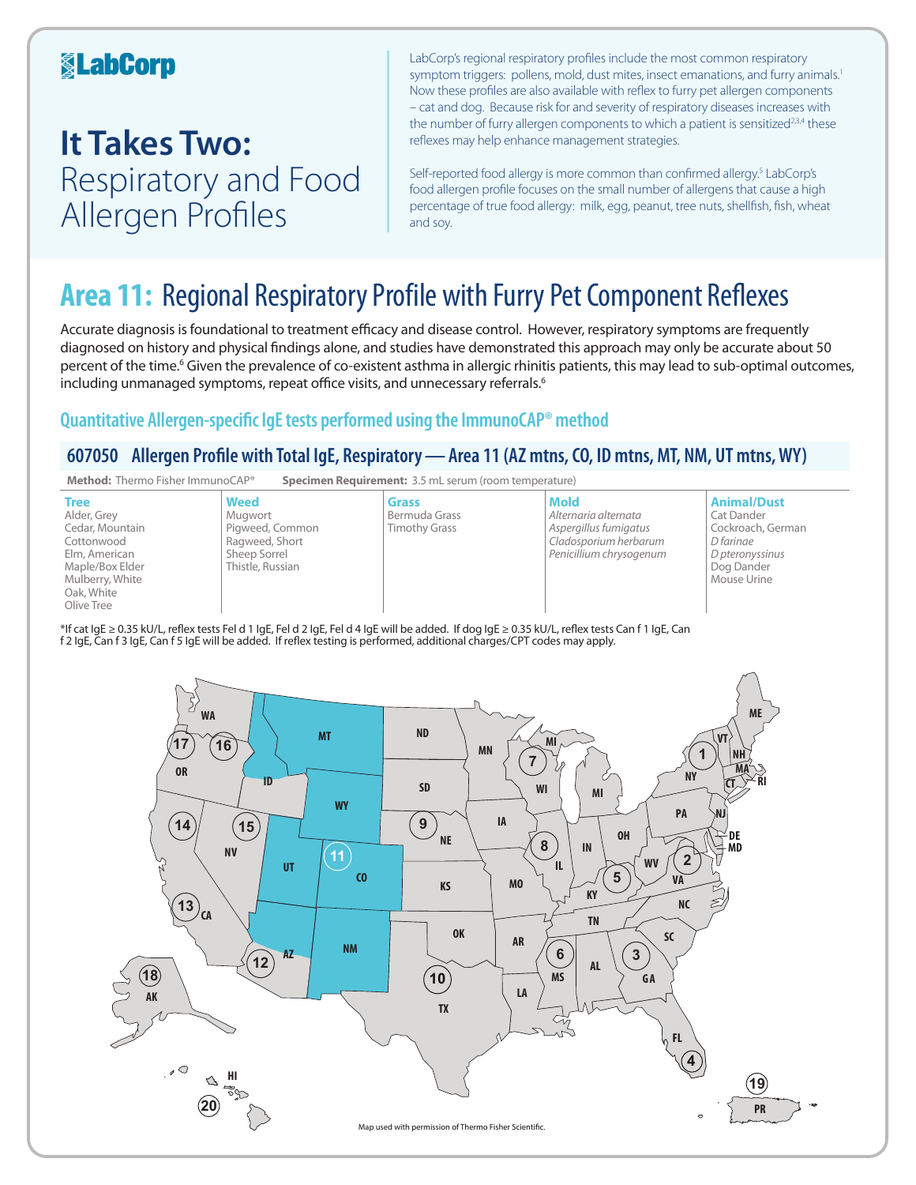## **KabCorp**

## **It Takes Two:**  Respiratory and Food Allergen Profiles

LabCorp's regional respiratory profiles include the most common respiratory symptom triggers: pollens, mold, dust mites, insect emanations, and furry animals.<sup>1</sup> Now these profiles are also available with reflex to furry pet allergen components – cat and dog. Because risk for and severity of respiratory diseases increases with the number of furry allergen components to which a patient is sensitized<sup>2,3,4</sup> these reflexes may help enhance management strategies.

Self-reported food allergy is more common than confirmed allergy.<sup>5</sup> LabCorp's food allergen profile focuses on the small number of allergens that cause a high percentage of true food allergy: milk, egg, peanut, tree nuts, shellfish, fish, wheat and soy.

## **Area 11:** Regional Respiratory Profile with Furry Pet Component Reflexes

Accurate diagnosis is foundational to treatment efficacy and disease control. However, respiratory symptoms are frequently diagnosed on history and physical findings alone, and studies have demonstrated this approach may only be accurate about 50 percent of the time.<sup>6</sup> Given the prevalence of co-existent asthma in allergic rhinitis patients, this may lead to sub-optimal outcomes, including unmanaged symptoms, repeat office visits, and unnecessary referrals.<sup>6</sup>

### **Quantitative Allergen-specific IgE tests performed using the ImmunoCAP® method**

### **607050 Allergen Profile with Total IgE, Respiratory—Area 11 (AZ mtns, CO, ID mtns, MT, NM, UT mtns, WY)**



\*If cat IgE ≥ 0.35 kU/L, reflex tests Fel d 1 IgE, Fel d 2 IgE, Fel d 4 IgE will be added. If dog IgE ≥ 0.35 kU/L, reflex tests Can f 1 IgE, Can f 2 IgE, Can f 3 IgE, Can f 5 IgE will be added. If reflex testing is performed, additional charges/CPT codes may apply.